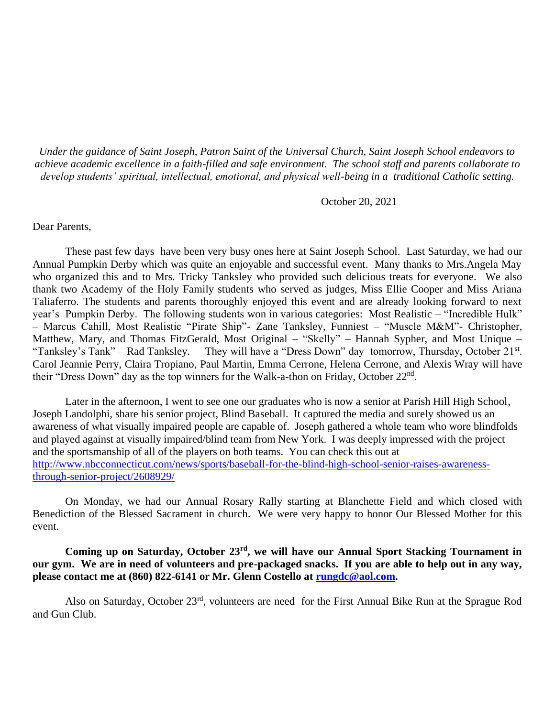*Under the guidance of Saint Joseph, Patron Saint of the Universal Church, Saint Joseph School endeavors to achieve academic excellence in a faith-filled and safe environment. The school staff and parents collaborate to develop students' spiritual, intellectual, emotional, and physical well-being in a traditional Catholic setting.*

October 20, 2021

Dear Parents,

These past few days have been very busy ones here at Saint Joseph School. Last Saturday, we had our Annual Pumpkin Derby which was quite an enjoyable and successful event. Many thanks to Mrs.Angela May who organized this and to Mrs. Tricky Tanksley who provided such delicious treats for everyone. We also thank two Academy of the Holy Family students who served as judges, Miss Ellie Cooper and Miss Ariana Taliaferro. The students and parents thoroughly enjoyed this event and are already looking forward to next year's Pumpkin Derby. The following students won in various categories: Most Realistic – "Incredible Hulk" – Marcus Cahill, Most Realistic "Pirate Ship"- Zane Tanksley, Funniest – "Muscle M&M"- Christopher, Matthew, Mary, and Thomas FitzGerald, Most Original – "Skelly" – Hannah Sypher, and Most Unique – "Tanksley's Tank" – Rad Tanksley. They will have a "Dress Down" day tomorrow, Thursday, October 21<sup>st</sup>. Carol Jeannie Perry, Claira Tropiano, Paul Martin, Emma Cerrone, Helena Cerrone, and Alexis Wray will have their "Dress Down" day as the top winners for the Walk-a-thon on Friday, October  $22<sup>nd</sup>$ .

Later in the afternoon, I went to see one our graduates who is now a senior at Parish Hill High School, Joseph Landolphi, share his senior project, Blind Baseball. It captured the media and surely showed us an awareness of what visually impaired people are capable of. Joseph gathered a whole team who wore blindfolds and played against at visually impaired/blind team from New York. I was deeply impressed with the project and the sportsmanship of all of the players on both teams. You can check this out at [http://www.nbcconnecticut.com/news/sports/baseball-for-the-blind-high-school-senior-raises-awareness](http://www.nbcconnecticut.com/news/sports/baseball-for-the-blind-high-school-senior-raises-awareness-through-senior-project/2608929/)[through-senior-project/2608929/](http://www.nbcconnecticut.com/news/sports/baseball-for-the-blind-high-school-senior-raises-awareness-through-senior-project/2608929/)

On Monday, we had our Annual Rosary Rally starting at Blanchette Field and which closed with Benediction of the Blessed Sacrament in church. We were very happy to honor Our Blessed Mother for this event.

**Coming up on Saturday, October 23rd, we will have our Annual Sport Stacking Tournament in our gym. We are in need of volunteers and pre-packaged snacks. If you are able to help out in any way, please contact me at (860) 822-6141 or Mr. Glenn Costello at [rungdc@aol.com.](mailto:rungdc@aol.com)** 

Also on Saturday, October 23rd, volunteers are need for the First Annual Bike Run at the Sprague Rod and Gun Club.